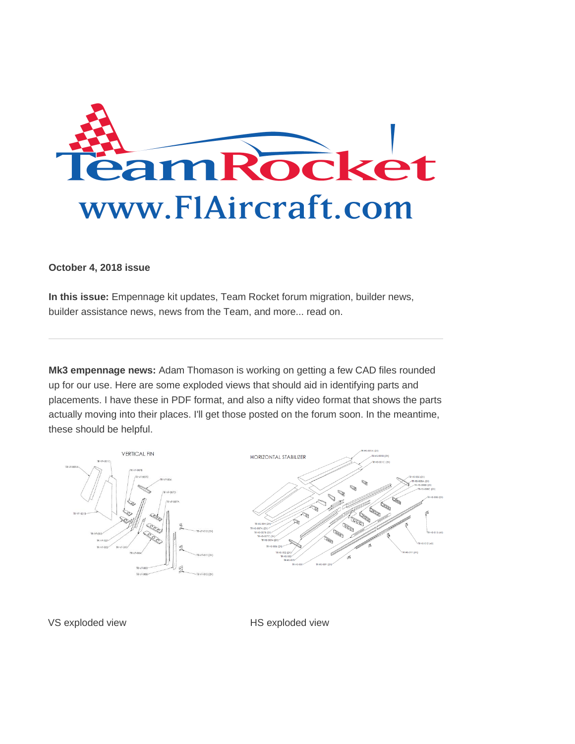

## **October 4, 2018 issue**

**In this issue:** Empennage kit updates, Team Rocket forum migration, builder news, builder assistance news, news from the Team, and more... read on.

**Mk3 empennage news:** Adam Thomason is working on getting a few CAD files rounded up for our use. Here are some exploded views that should aid in identifying parts and placements. I have these in PDF format, and also a nifty video format that shows the parts actually moving into their places. I'll get those posted on the forum soon. In the meantime, these should be helpful.



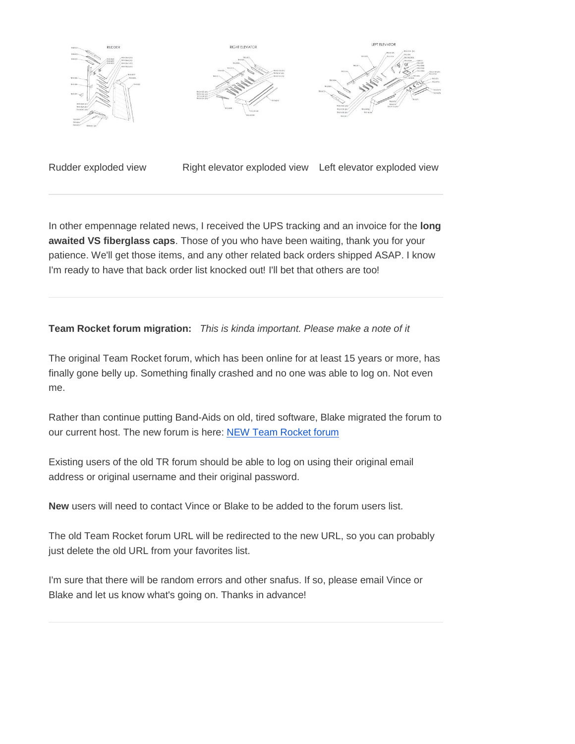

Rudder exploded view Right elevator exploded view Left elevator exploded view

In other empennage related news, I received the UPS tracking and an invoice for the **long awaited VS fiberglass caps**. Those of you who have been waiting, thank you for your patience. We'll get those items, and any other related back orders shipped ASAP. I know I'm ready to have that back order list knocked out! I'll bet that others are too!

**Team Rocket forum migration:** *This is kinda important. Please make a note of it*

The original Team Rocket forum, which has been online for at least 15 years or more, has finally gone belly up. Something finally crashed and no one was able to log on. Not even me.

Rather than continue putting Band-Aids on old, tired software, Blake migrated the forum to our current host. The new forum is here: [NEW Team Rocket forum](http://trk28.benchurl.com/c/l?u=82EC475&e=D627C4&c=E356B&t=0&l=FFBB8A&email=aR1RV9%2BYo52gIqxj1QGBi5emkgBQcCdv&seq=1)

Existing users of the old TR forum should be able to log on using their original email address or original username and their original password.

**New** users will need to contact Vince or Blake to be added to the forum users list.

The old Team Rocket forum URL will be redirected to the new URL, so you can probably just delete the old URL from your favorites list.

I'm sure that there will be random errors and other snafus. If so, please email Vince or Blake and let us know what's going on. Thanks in advance!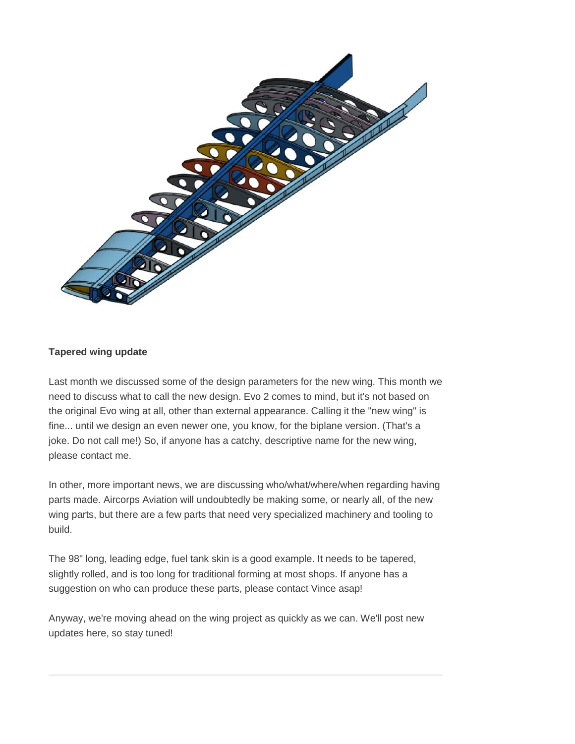

## **Tapered wing update**

Last month we discussed some of the design parameters for the new wing. This month we need to discuss what to call the new design. Evo 2 comes to mind, but it's not based on the original Evo wing at all, other than external appearance. Calling it the "new wing" is fine... until we design an even newer one, you know, for the biplane version. (That's a joke. Do not call me!) So, if anyone has a catchy, descriptive name for the new wing, please contact me.

In other, more important news, we are discussing who/what/where/when regarding having parts made. Aircorps Aviation will undoubtedly be making some, or nearly all, of the new wing parts, but there are a few parts that need very specialized machinery and tooling to build.

The 98" long, leading edge, fuel tank skin is a good example. It needs to be tapered, slightly rolled, and is too long for traditional forming at most shops. If anyone has a suggestion on who can produce these parts, please contact Vince asap!

Anyway, we're moving ahead on the wing project as quickly as we can. We'll post new updates here, so stay tuned!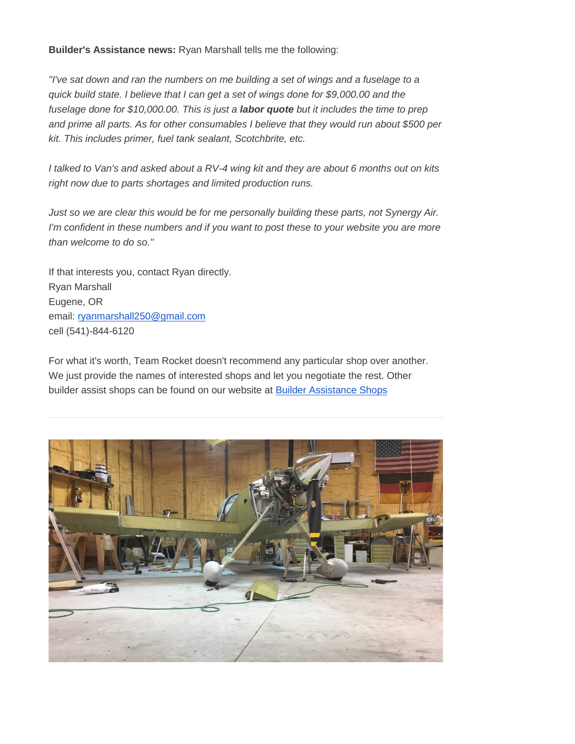**Builder's Assistance news:** Ryan Marshall tells me the following:

*"I've sat down and ran the numbers on me building a set of wings and a fuselage to a quick build state. I believe that I can get a set of wings done for \$9,000.00 and the fuselage done for \$10,000.00. This is just a labor quote but it includes the time to prep and prime all parts. As for other consumables I believe that they would run about \$500 per kit. This includes primer, fuel tank sealant, Scotchbrite, etc.*

*I talked to Van's and asked about a RV-4 wing kit and they are about 6 months out on kits right now due to parts shortages and limited production runs.*

*Just so we are clear this would be for me personally building these parts, not Synergy Air. I'm confident in these numbers and if you want to post these to your website you are more than welcome to do so."*

If that interests you, contact Ryan directly. Ryan Marshall Eugene, OR email: [ryanmarshall250@gmail.com](mailto:ryanmarshall250@gmail.com) cell (541)-844-6120

For what it's worth, Team Rocket doesn't recommend any particular shop over another. We just provide the names of interested shops and let you negotiate the rest. Other builder assist shops can be found on our website at [Builder Assistance Shops](http://trk28.benchurl.com/c/l?u=82EDDE6&e=D627C4&c=E356B&t=0&l=FFBB8A&email=aR1RV9%2BYo52gIqxj1QGBi5emkgBQcCdv&seq=1)

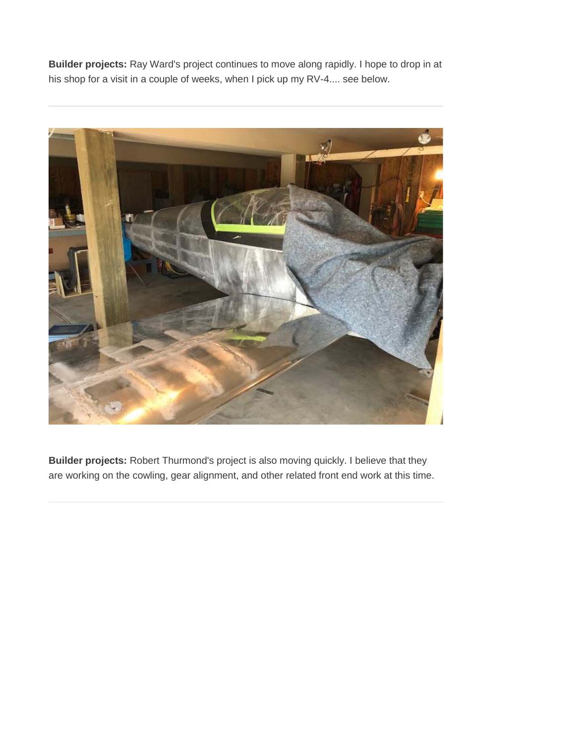**Builder projects:** Ray Ward's project continues to move along rapidly. I hope to drop in at his shop for a visit in a couple of weeks, when I pick up my RV-4.... see below.



**Builder projects:** Robert Thurmond's project is also moving quickly. I believe that they are working on the cowling, gear alignment, and other related front end work at this time.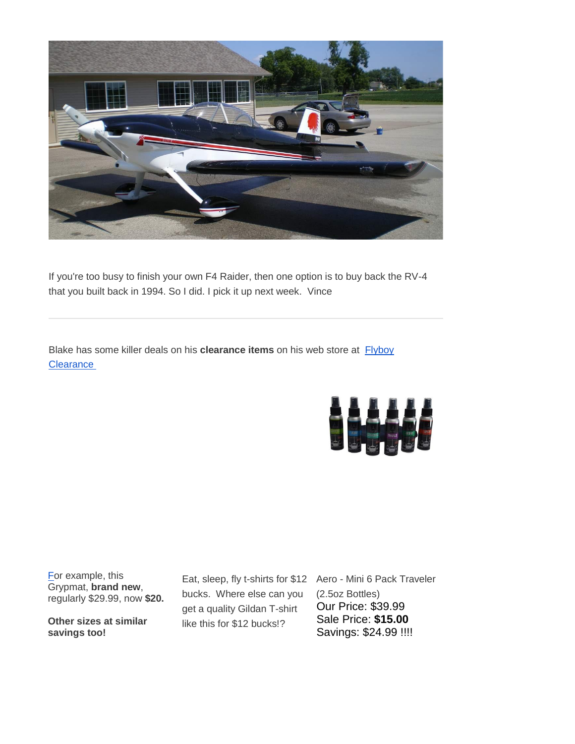

If you're too busy to finish your own F4 Raider, then one option is to buy back the RV-4 that you built back in 1994. So I did. I pick it up next week. Vince

Blake has some killer deals on his **clearance items** on his web store at [Flyboy](http://trk28.benchurl.com/c/l?u=82EE592&e=D627C4&c=E356B&t=0&l=FFBB8A&email=aR1RV9%2BYo52gIqxj1QGBi5emkgBQcCdv&seq=1)  **[Clearance](http://trk28.benchurl.com/c/l?u=82EE592&e=D627C4&c=E356B&t=0&l=FFBB8A&email=aR1RV9%2BYo52gIqxj1QGBi5emkgBQcCdv&seq=1)** 



[Fo](http://trk28.benchurl.com/c/l?u=82EE592&e=D627C4&c=E356B&t=0&l=FFBB8A&email=aR1RV9%2BYo52gIqxj1QGBi5emkgBQcCdv&seq=2)r example, this Grypmat, **brand new**, regularly \$29.99, now **\$20.**

**Other sizes at similar savings too!**

bucks. Where else can you get a quality Gildan T-shirt like this for \$12 bucks!?

Eat, sleep, fly t-shirts for \$12 Aero - Mini 6 Pack Traveler (2.5oz Bottles) Our Price: \$39.99 Sale Price: **\$15.00** Savings: \$24.99 !!!!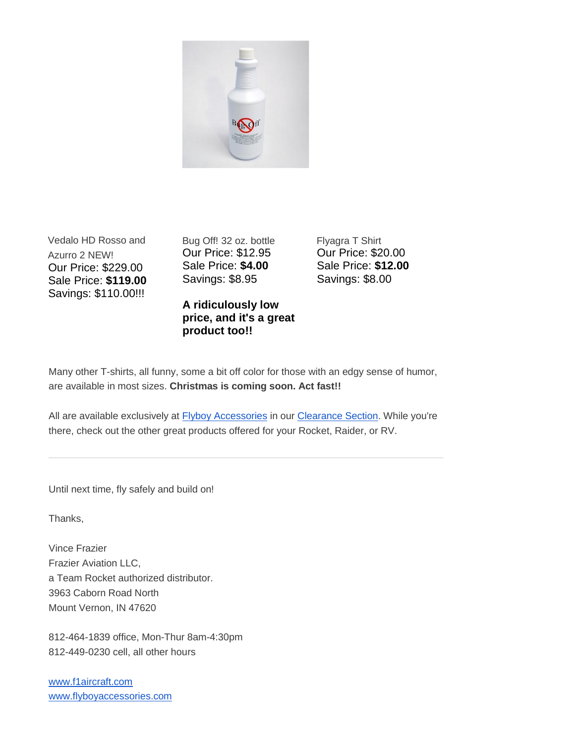

Vedalo HD Rosso and Azurro 2 NEW! Our Price: \$229.00 Sale Price: **\$119.00** Savings: \$110.00!!!

Bug Off! 32 oz. bottle Our Price: \$12.95 Sale Price: **\$4.00** Savings: \$8.95

## **A ridiculously low price, and it's a great product too!!**

Flyagra T Shirt Our Price: \$20.00 Sale Price: **\$12.00** Savings: \$8.00

Many other T-shirts, all funny, some a bit off color for those with an edgy sense of humor, are available in most sizes. **Christmas is coming soon. Act fast!!**

All are available exclusively at **[Flyboy Accessories](http://trk28.benchurl.com/c/l?u=82EE796&e=D627C4&c=E356B&t=0&l=FFBB8A&email=aR1RV9%2BYo52gIqxj1QGBi5emkgBQcCdv&seq=1)** in our *Clearance Section*. While you're there, check out the other great products offered for your Rocket, Raider, or RV.

Until next time, fly safely and build on!

Thanks,

Vince Frazier Frazier Aviation LLC, a Team Rocket authorized distributor. 3963 Caborn Road North Mount Vernon, IN 47620

812-464-1839 office, Mon-Thur 8am-4:30pm 812-449-0230 cell, all other hours